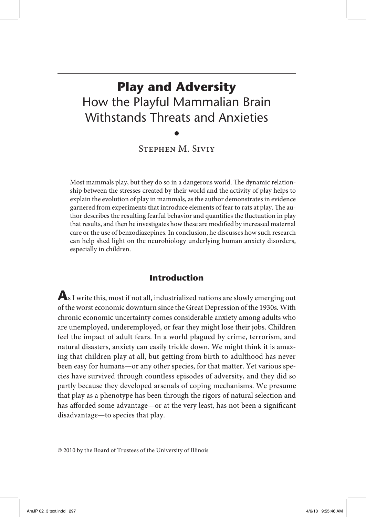# **Play and Adversity** How the Playful Mammalian Brain Withstands Threats and Anxieties

•

Stephen M. Siviy

Most mammals play, but they do so in a dangerous world. The dynamic relationship between the stresses created by their world and the activity of play helps to explain the evolution of play in mammals, as the author demonstrates in evidence garnered from experiments that introduce elements of fear to rats at play. The author describes the resulting fearful behavior and quantifies the fluctuation in play that results, and then he investigates how these are modified by increased maternal care or the use of benzodiazepines. In conclusion, he discusses how such research can help shed light on the neurobiology underlying human anxiety disorders, especially in children.

### **Introduction**

**A**s I write this, most if not all, industrialized nations are slowly emerging out of the worst economic downturn since the Great Depression of the 1930s. With chronic economic uncertainty comes considerable anxiety among adults who are unemployed, underemployed, or fear they might lose their jobs. Children feel the impact of adult fears. In a world plagued by crime, terrorism, and natural disasters, anxiety can easily trickle down. We might think it is amazing that children play at all, but getting from birth to adulthood has never been easy for humans—or any other species, for that matter. Yet various species have survived through countless episodes of adversity, and they did so partly because they developed arsenals of coping mechanisms. We presume that play as a phenotype has been through the rigors of natural selection and has afforded some advantage—or at the very least, has not been a significant disadvantage—to species that play.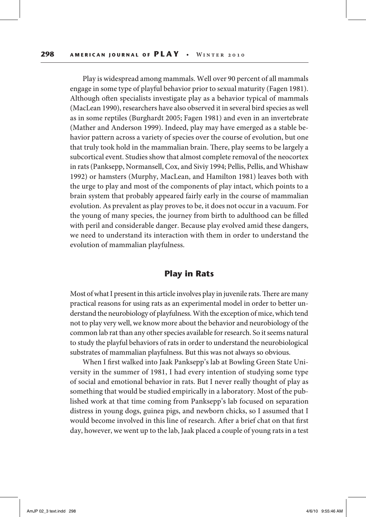Play is widespread among mammals. Well over 90 percent of all mammals engage in some type of playful behavior prior to sexual maturity (Fagen 1981). Although often specialists investigate play as a behavior typical of mammals (MacLean 1990), researchers have also observed it in several bird species as well as in some reptiles (Burghardt 2005; Fagen 1981) and even in an invertebrate (Mather and Anderson 1999). Indeed, play may have emerged as a stable behavior pattern across a variety of species over the course of evolution, but one that truly took hold in the mammalian brain. There, play seems to be largely a subcortical event. Studies show that almost complete removal of the neocortex in rats (Panksepp, Normansell, Cox, and Siviy 1994; Pellis, Pellis, and Whishaw 1992) or hamsters (Murphy, MacLean, and Hamilton 1981) leaves both with the urge to play and most of the components of play intact, which points to a brain system that probably appeared fairly early in the course of mammalian evolution. As prevalent as play proves to be, it does not occur in a vacuum. For the young of many species, the journey from birth to adulthood can be filled with peril and considerable danger. Because play evolved amid these dangers, we need to understand its interaction with them in order to understand the evolution of mammalian playfulness.

#### **Play in Rats**

Most of what I present in this article involves play in juvenile rats. There are many practical reasons for using rats as an experimental model in order to better understand the neurobiology of playfulness. With the exception of mice, which tend not to play very well, we know more about the behavior and neurobiology of the common lab rat than any other species available for research. So it seems natural to study the playful behaviors of rats in order to understand the neurobiological substrates of mammalian playfulness. But this was not always so obvious.

When I first walked into Jaak Panksepp's lab at Bowling Green State University in the summer of 1981, I had every intention of studying some type of social and emotional behavior in rats. But I never really thought of play as something that would be studied empirically in a laboratory. Most of the published work at that time coming from Panksepp's lab focused on separation distress in young dogs, guinea pigs, and newborn chicks, so I assumed that I would become involved in this line of research. After a brief chat on that first day, however, we went up to the lab, Jaak placed a couple of young rats in a test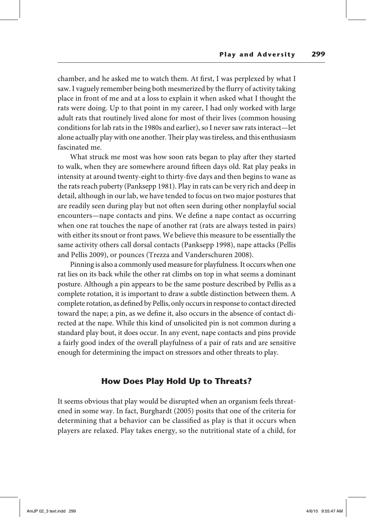chamber, and he asked me to watch them. At first, I was perplexed by what I saw. I vaguely remember being both mesmerized by the flurry of activity taking place in front of me and at a loss to explain it when asked what I thought the rats were doing. Up to that point in my career, I had only worked with large adult rats that routinely lived alone for most of their lives (common housing conditions for lab rats in the 1980s and earlier), so I never saw rats interact—let alone actually play with one another. Their play was tireless, and this enthusiasm fascinated me.

What struck me most was how soon rats began to play after they started to walk, when they are somewhere around fifteen days old. Rat play peaks in intensity at around twenty-eight to thirty-five days and then begins to wane as the rats reach puberty (Panksepp 1981). Play in rats can be very rich and deep in detail, although in our lab, we have tended to focus on two major postures that are readily seen during play but not often seen during other nonplayful social encounters—nape contacts and pins. We define a nape contact as occurring when one rat touches the nape of another rat (rats are always tested in pairs) with either its snout or front paws. We believe this measure to be essentially the same activity others call dorsal contacts (Panksepp 1998), nape attacks (Pellis and Pellis 2009), or pounces (Trezza and Vanderschuren 2008).

Pinning is also a commonly used measure for playfulness. It occurs when one rat lies on its back while the other rat climbs on top in what seems a dominant posture. Although a pin appears to be the same posture described by Pellis as a complete rotation, it is important to draw a subtle distinction between them. A complete rotation, as defined by Pellis, only occurs in response to contact directed toward the nape; a pin, as we define it, also occurs in the absence of contact directed at the nape. While this kind of unsolicited pin is not common during a standard play bout, it does occur. In any event, nape contacts and pins provide a fairly good index of the overall playfulness of a pair of rats and are sensitive enough for determining the impact on stressors and other threats to play.

#### **How Does Play Hold Up to Threats?**

It seems obvious that play would be disrupted when an organism feels threatened in some way. In fact, Burghardt (2005) posits that one of the criteria for determining that a behavior can be classified as play is that it occurs when players are relaxed. Play takes energy, so the nutritional state of a child, for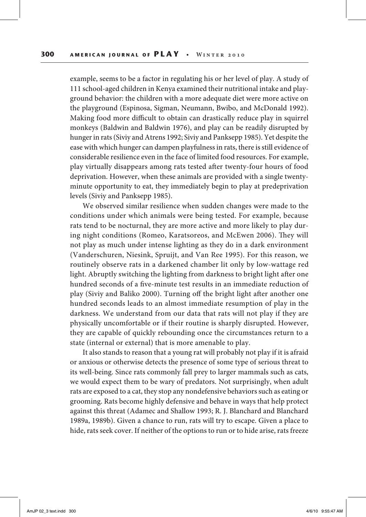example, seems to be a factor in regulating his or her level of play. A study of 111 school-aged children in Kenya examined their nutritional intake and playground behavior: the children with a more adequate diet were more active on the playground (Espinosa, Sigman, Neumann, Bwibo, and McDonald 1992). Making food more difficult to obtain can drastically reduce play in squirrel monkeys (Baldwin and Baldwin 1976), and play can be readily disrupted by hunger in rats (Siviy and Atrens 1992; Siviy and Panksepp 1985). Yet despite the ease with which hunger can dampen playfulness in rats, there is still evidence of considerable resilience even in the face of limited food resources. For example, play virtually disappears among rats tested after twenty-four hours of food deprivation. However, when these animals are provided with a single twentyminute opportunity to eat, they immediately begin to play at predeprivation levels (Siviy and Panksepp 1985).

We observed similar resilience when sudden changes were made to the conditions under which animals were being tested. For example, because rats tend to be nocturnal, they are more active and more likely to play during night conditions (Romeo, Karatsoreos, and McEwen 2006). They will not play as much under intense lighting as they do in a dark environment (Vanderschuren, Niesink, Spruijt, and Van Ree 1995). For this reason, we routinely observe rats in a darkened chamber lit only by low-wattage red light. Abruptly switching the lighting from darkness to bright light after one hundred seconds of a five-minute test results in an immediate reduction of play (Siviy and Baliko 2000). Turning off the bright light after another one hundred seconds leads to an almost immediate resumption of play in the darkness. We understand from our data that rats will not play if they are physically uncomfortable or if their routine is sharply disrupted. However, they are capable of quickly rebounding once the circumstances return to a state (internal or external) that is more amenable to play.

It also stands to reason that a young rat will probably not play if it is afraid or anxious or otherwise detects the presence of some type of serious threat to its well-being. Since rats commonly fall prey to larger mammals such as cats, we would expect them to be wary of predators. Not surprisingly, when adult rats are exposed to a cat, they stop any nondefensive behaviors such as eating or grooming. Rats become highly defensive and behave in ways that help protect against this threat (Adamec and Shallow 1993; R. J. Blanchard and Blanchard 1989a, 1989b). Given a chance to run, rats will try to escape. Given a place to hide, rats seek cover. If neither of the options to run or to hide arise, rats freeze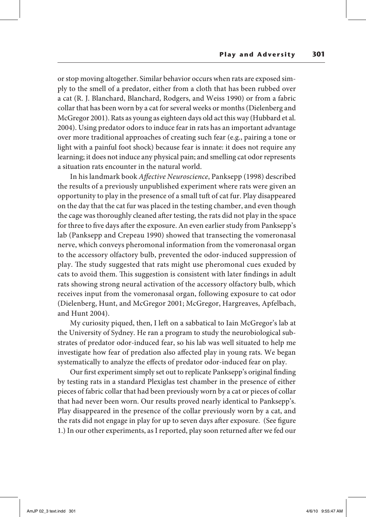or stop moving altogether. Similar behavior occurs when rats are exposed simply to the smell of a predator, either from a cloth that has been rubbed over a cat (R. J. Blanchard, Blanchard, Rodgers, and Weiss 1990) or from a fabric collar that has been worn by a cat for several weeks or months (Dielenberg and McGregor 2001). Rats as young as eighteen days old act this way (Hubbard et al. 2004). Using predator odors to induce fear in rats has an important advantage over more traditional approaches of creating such fear (e.g., pairing a tone or light with a painful foot shock) because fear is innate: it does not require any learning; it does not induce any physical pain; and smelling cat odor represents a situation rats encounter in the natural world.

In his landmark book *Affective Neuroscience*, Panksepp (1998) described the results of a previously unpublished experiment where rats were given an opportunity to play in the presence of a small tuft of cat fur. Play disappeared on the day that the cat fur was placed in the testing chamber, and even though the cage was thoroughly cleaned after testing, the rats did not play in the space for three to five days after the exposure. An even earlier study from Panksepp's lab (Panksepp and Crepeau 1990) showed that transecting the vomeronasal nerve, which conveys pheromonal information from the vomeronasal organ to the accessory olfactory bulb, prevented the odor-induced suppression of play. The study suggested that rats might use pheromonal cues exuded by cats to avoid them. This suggestion is consistent with later findings in adult rats showing strong neural activation of the accessory olfactory bulb, which receives input from the vomeronasal organ, following exposure to cat odor (Dielenberg, Hunt, and McGregor 2001; McGregor, Hargreaves, Apfelbach, and Hunt 2004).

My curiosity piqued, then, I left on a sabbatical to Iain McGregor's lab at the University of Sydney. He ran a program to study the neurobiological substrates of predator odor-induced fear, so his lab was well situated to help me investigate how fear of predation also affected play in young rats. We began systematically to analyze the effects of predator odor-induced fear on play.

Our first experiment simply set out to replicate Panksepp's original finding by testing rats in a standard Plexiglas test chamber in the presence of either pieces of fabric collar that had been previously worn by a cat or pieces of collar that had never been worn. Our results proved nearly identical to Panksepp's. Play disappeared in the presence of the collar previously worn by a cat, and the rats did not engage in play for up to seven days after exposure. (See figure 1.) In our other experiments, as I reported, play soon returned after we fed our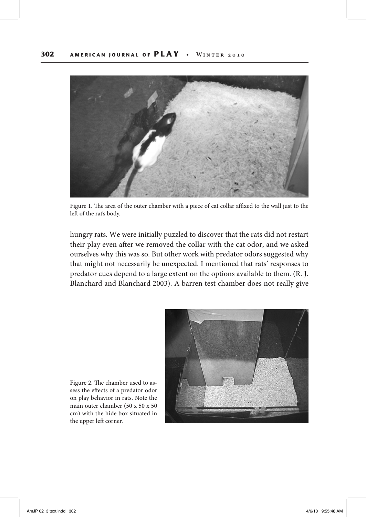

Figure 1. The area of the outer chamber with a piece of cat collar affixed to the wall just to the left of the rat's body.

hungry rats. We were initially puzzled to discover that the rats did not restart their play even after we removed the collar with the cat odor, and we asked ourselves why this was so. But other work with predator odors suggested why that might not necessarily be unexpected. I mentioned that rats' responses to predator cues depend to a large extent on the options available to them. (R. J. Blanchard and Blanchard 2003). A barren test chamber does not really give



Figure 2. The chamber used to assess the effects of a predator odor on play behavior in rats. Note the main outer chamber (50 x 50 x 50 cm) with the hide box situated in the upper left corner.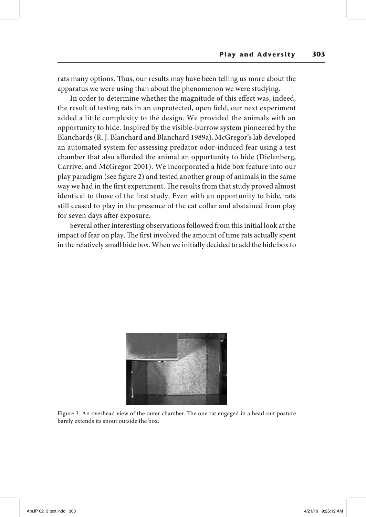rats many options. Thus, our results may have been telling us more about the apparatus we were using than about the phenomenon we were studying.

In order to determine whether the magnitude of this effect was, indeed, the result of testing rats in an unprotected, open field, our next experiment added a little complexity to the design. We provided the animals with an opportunity to hide. Inspired by the visible-burrow system pioneered by the Blanchards (R. J. Blanchard and Blanchard 1989a), McGregor's lab developed an automated system for assessing predator odor-induced fear using a test chamber that also afforded the animal an opportunity to hide (Dielenberg, Carrive, and McGregor 2001). We incorporated a hide box feature into our play paradigm (see figure 2) and tested another group of animals in the same way we had in the first experiment. The results from that study proved almost identical to those of the first study. Even with an opportunity to hide, rats still ceased to play in the presence of the cat collar and abstained from play for seven days after exposure.

Several other interesting observations followed from this initial look at the impact of fear on play. The first involved the amount of time rats actually spent in the relatively small hide box. When we initially decided to add the hide box to



Figure 3. An overhead view of the outer chamber. The one rat engaged in a head-out posture barely extends its snout outside the box.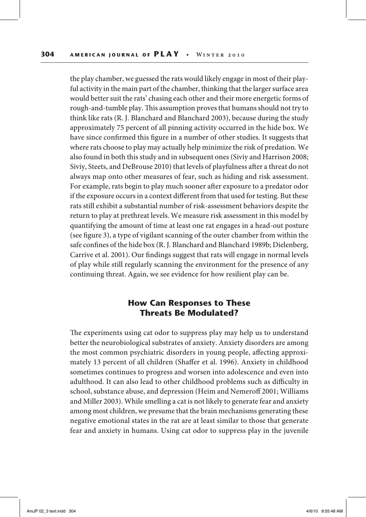the play chamber, we guessed the rats would likely engage in most of their playful activity in the main part of the chamber, thinking that the larger surface area would better suit the rats' chasing each other and their more energetic forms of rough-and-tumble play. This assumption proves that humans should not try to think like rats (R. J. Blanchard and Blanchard 2003), because during the study approximately 75 percent of all pinning activity occurred in the hide box. We have since confirmed this figure in a number of other studies. It suggests that where rats choose to play may actually help minimize the risk of predation. We also found in both this study and in subsequent ones (Siviy and Harrison 2008; Siviy, Steets, and DeBrouse 2010) that levels of playfulness after a threat do not always map onto other measures of fear, such as hiding and risk assessment. For example, rats begin to play much sooner after exposure to a predator odor if the exposure occurs in a context different from that used for testing. But these rats still exhibit a substantial number of risk-assessment behaviors despite the return to play at prethreat levels. We measure risk assessment in this model by quantifying the amount of time at least one rat engages in a head-out posture (see figure 3), a type of vigilant scanning of the outer chamber from within the safe confines of the hide box (R. J. Blanchard and Blanchard 1989b; Dielenberg, Carrive et al. 2001). Our findings suggest that rats will engage in normal levels of play while still regularly scanning the environment for the presence of any continuing threat. Again, we see evidence for how resilient play can be.

#### **How Can Responses to These Threats Be Modulated?**

The experiments using cat odor to suppress play may help us to understand better the neurobiological substrates of anxiety. Anxiety disorders are among the most common psychiatric disorders in young people, affecting approximately 13 percent of all children (Shaffer et al. 1996). Anxiety in childhood sometimes continues to progress and worsen into adolescence and even into adulthood. It can also lead to other childhood problems such as difficulty in school, substance abuse, and depression (Heim and Nemeroff 2001; Williams and Miller 2003). While smelling a cat is not likely to generate fear and anxiety among most children, we presume that the brain mechanisms generating these negative emotional states in the rat are at least similar to those that generate fear and anxiety in humans. Using cat odor to suppress play in the juvenile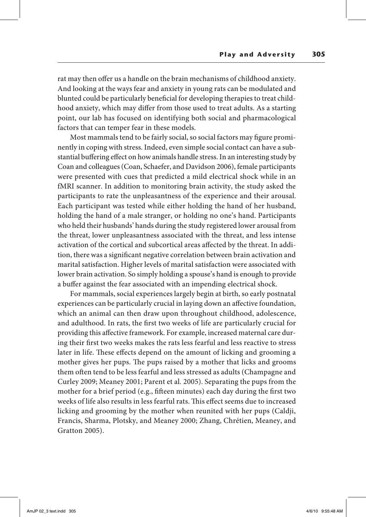rat may then offer us a handle on the brain mechanisms of childhood anxiety. And looking at the ways fear and anxiety in young rats can be modulated and blunted could be particularly beneficial for developing therapies to treat childhood anxiety, which may differ from those used to treat adults. As a starting point, our lab has focused on identifying both social and pharmacological factors that can temper fear in these models.

Most mammals tend to be fairly social, so social factors may figure prominently in coping with stress. Indeed, even simple social contact can have a substantial buffering effect on how animals handle stress. In an interesting study by Coan and colleagues (Coan, Schaefer, and Davidson 2006), female participants were presented with cues that predicted a mild electrical shock while in an fMRI scanner. In addition to monitoring brain activity, the study asked the participants to rate the unpleasantness of the experience and their arousal. Each participant was tested while either holding the hand of her husband, holding the hand of a male stranger, or holding no one's hand. Participants who held their husbands' hands during the study registered lower arousal from the threat, lower unpleasantness associated with the threat, and less intense activation of the cortical and subcortical areas affected by the threat. In addition, there was a significant negative correlation between brain activation and marital satisfaction. Higher levels of marital satisfaction were associated with lower brain activation. So simply holding a spouse's hand is enough to provide a buffer against the fear associated with an impending electrical shock.

For mammals, social experiences largely begin at birth, so early postnatal experiences can be particularly crucial in laying down an affective foundation, which an animal can then draw upon throughout childhood, adolescence, and adulthood. In rats, the first two weeks of life are particularly crucial for providing this affective framework. For example, increased maternal care during their first two weeks makes the rats less fearful and less reactive to stress later in life. These effects depend on the amount of licking and grooming a mother gives her pups. The pups raised by a mother that licks and grooms them often tend to be less fearful and less stressed as adults (Champagne and Curley 2009; Meaney 2001; Parent et al*.* 2005). Separating the pups from the mother for a brief period (e.g., fifteen minutes) each day during the first two weeks of life also results in less fearful rats. This effect seems due to increased licking and grooming by the mother when reunited with her pups (Caldji, Francis, Sharma, Plotsky, and Meaney 2000; Zhang, Chrétien, Meaney, and Gratton 2005).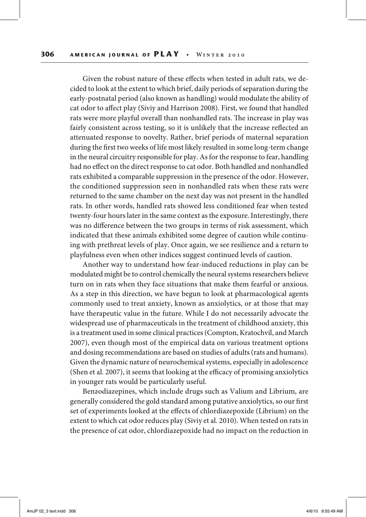Given the robust nature of these effects when tested in adult rats, we decided to look at the extent to which brief, daily periods of separation during the early-postnatal period (also known as handling) would modulate the ability of cat odor to affect play (Siviy and Harrison 2008). First, we found that handled rats were more playful overall than nonhandled rats. The increase in play was fairly consistent across testing, so it is unlikely that the increase reflected an attenuated response to novelty. Rather, brief periods of maternal separation during the first two weeks of life most likely resulted in some long-term change in the neural circuitry responsible for play. As for the response to fear, handling had no effect on the direct response to cat odor. Both handled and nonhandled rats exhibited a comparable suppression in the presence of the odor. However, the conditioned suppression seen in nonhandled rats when these rats were returned to the same chamber on the next day was not present in the handled rats. In other words, handled rats showed less conditioned fear when tested twenty-four hours later in the same context as the exposure. Interestingly, there was no difference between the two groups in terms of risk assessment, which indicated that these animals exhibited some degree of caution while continuing with prethreat levels of play. Once again, we see resilience and a return to playfulness even when other indices suggest continued levels of caution.

Another way to understand how fear-induced reductions in play can be modulated might be to control chemically the neural systems researchers believe turn on in rats when they face situations that make them fearful or anxious. As a step in this direction, we have begun to look at pharmacological agents commonly used to treat anxiety, known as anxiolytics, or at those that may have therapeutic value in the future. While I do not necessarily advocate the widespread use of pharmaceuticals in the treatment of childhood anxiety, this is a treatment used in some clinical practices (Compton, Kratochvil, and March 2007), even though most of the empirical data on various treatment options and dosing recommendations are based on studies of adults (rats and humans). Given the dynamic nature of neurochemical systems, especially in adolescence (Shen et al*.* 2007), it seems that looking at the efficacy of promising anxiolytics in younger rats would be particularly useful.

Benzodiazepines, which include drugs such as Valium and Librium, are generally considered the gold standard among putative anxiolytics, so our first set of experiments looked at the effects of chlordiazepoxide (Librium) on the extent to which cat odor reduces play (Siviy et al*.* 2010). When tested on rats in the presence of cat odor, chlordiazepoxide had no impact on the reduction in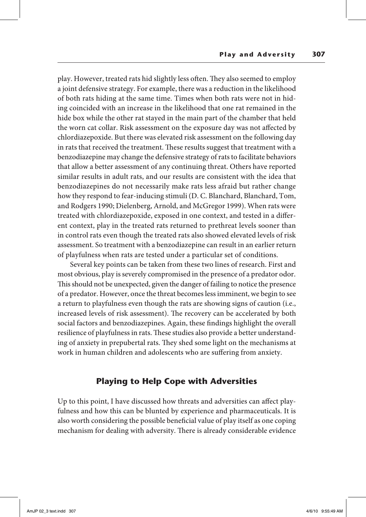play. However, treated rats hid slightly less often. They also seemed to employ a joint defensive strategy. For example, there was a reduction in the likelihood of both rats hiding at the same time. Times when both rats were not in hiding coincided with an increase in the likelihood that one rat remained in the hide box while the other rat stayed in the main part of the chamber that held the worn cat collar. Risk assessment on the exposure day was not affected by chlordiazepoxide. But there was elevated risk assessment on the following day in rats that received the treatment. These results suggest that treatment with a benzodiazepine may change the defensive strategy of rats to facilitate behaviors that allow a better assessment of any continuing threat. Others have reported similar results in adult rats, and our results are consistent with the idea that benzodiazepines do not necessarily make rats less afraid but rather change how they respond to fear-inducing stimuli (D. C. Blanchard, Blanchard, Tom, and Rodgers 1990; Dielenberg, Arnold, and McGregor 1999). When rats were treated with chlordiazepoxide, exposed in one context, and tested in a different context, play in the treated rats returned to prethreat levels sooner than in control rats even though the treated rats also showed elevated levels of risk assessment. So treatment with a benzodiazepine can result in an earlier return of playfulness when rats are tested under a particular set of conditions.

Several key points can be taken from these two lines of research. First and most obvious, play is severely compromised in the presence of a predator odor. This should not be unexpected, given the danger of failing to notice the presence of a predator. However, once the threat becomes less imminent, we begin to see a return to playfulness even though the rats are showing signs of caution (i.e., increased levels of risk assessment). The recovery can be accelerated by both social factors and benzodiazepines. Again, these findings highlight the overall resilience of playfulness in rats. These studies also provide a better understanding of anxiety in prepubertal rats. They shed some light on the mechanisms at work in human children and adolescents who are suffering from anxiety.

# **Playing to Help Cope with Adversities**

Up to this point, I have discussed how threats and adversities can affect playfulness and how this can be blunted by experience and pharmaceuticals. It is also worth considering the possible beneficial value of play itself as one coping mechanism for dealing with adversity. There is already considerable evidence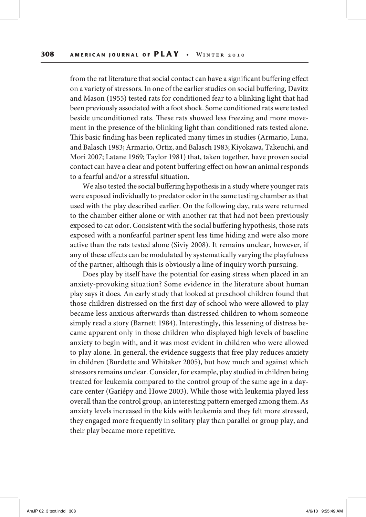from the rat literature that social contact can have a significant buffering effect on a variety of stressors. In one of the earlier studies on social buffering, Davitz and Mason (1955) tested rats for conditioned fear to a blinking light that had been previously associated with a foot shock. Some conditioned rats were tested beside unconditioned rats. These rats showed less freezing and more movement in the presence of the blinking light than conditioned rats tested alone. This basic finding has been replicated many times in studies (Armario, Luna, and Balasch 1983; Armario, Ortiz, and Balasch 1983; Kiyokawa, Takeuchi, and Mori 2007; Latane 1969; Taylor 1981) that, taken together, have proven social contact can have a clear and potent buffering effect on how an animal responds to a fearful and/or a stressful situation.

We also tested the social buffering hypothesis in a study where younger rats were exposed individually to predator odor in the same testing chamber as that used with the play described earlier. On the following day, rats were returned to the chamber either alone or with another rat that had not been previously exposed to cat odor. Consistent with the social buffering hypothesis, those rats exposed with a nonfearful partner spent less time hiding and were also more active than the rats tested alone (Siviy 2008). It remains unclear, however, if any of these effects can be modulated by systematically varying the playfulness of the partner, although this is obviously a line of inquiry worth pursuing.

Does play by itself have the potential for easing stress when placed in an anxiety-provoking situation? Some evidence in the literature about human play says it does. An early study that looked at preschool children found that those children distressed on the first day of school who were allowed to play became less anxious afterwards than distressed children to whom someone simply read a story (Barnett 1984). Interestingly, this lessening of distress became apparent only in those children who displayed high levels of baseline anxiety to begin with, and it was most evident in children who were allowed to play alone. In general, the evidence suggests that free play reduces anxiety in children (Burdette and Whitaker 2005), but how much and against which stressors remains unclear. Consider, for example, play studied in children being treated for leukemia compared to the control group of the same age in a daycare center (Gariépy and Howe 2003). While those with leukemia played less overall than the control group, an interesting pattern emerged among them. As anxiety levels increased in the kids with leukemia and they felt more stressed, they engaged more frequently in solitary play than parallel or group play, and their play became more repetitive.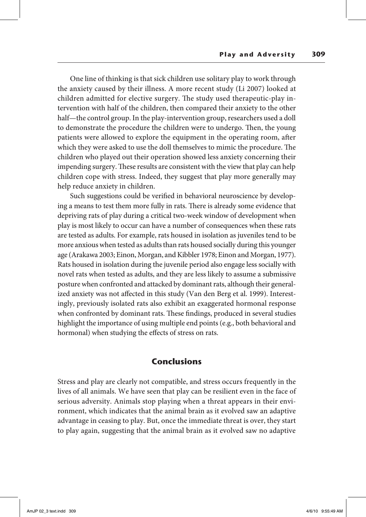One line of thinking is that sick children use solitary play to work through the anxiety caused by their illness. A more recent study (Li 2007) looked at children admitted for elective surgery. The study used therapeutic-play intervention with half of the children, then compared their anxiety to the other half—the control group. In the play-intervention group, researchers used a doll to demonstrate the procedure the children were to undergo. Then, the young patients were allowed to explore the equipment in the operating room, after which they were asked to use the doll themselves to mimic the procedure. The children who played out their operation showed less anxiety concerning their impending surgery. These results are consistent with the view that play can help children cope with stress. Indeed, they suggest that play more generally may help reduce anxiety in children.

Such suggestions could be verified in behavioral neuroscience by developing a means to test them more fully in rats. There is already some evidence that depriving rats of play during a critical two-week window of development when play is most likely to occur can have a number of consequences when these rats are tested as adults. For example, rats housed in isolation as juveniles tend to be more anxious when tested as adults than rats housed socially during this younger age (Arakawa 2003; Einon, Morgan, and Kibbler 1978; Einon and Morgan, 1977). Rats housed in isolation during the juvenile period also engage less socially with novel rats when tested as adults, and they are less likely to assume a submissive posture when confronted and attacked by dominant rats, although their generalized anxiety was not affected in this study (Van den Berg et al. 1999). Interestingly, previously isolated rats also exhibit an exaggerated hormonal response when confronted by dominant rats. These findings, produced in several studies highlight the importance of using multiple end points (e.g., both behavioral and hormonal) when studying the effects of stress on rats.

## **Conclusions**

Stress and play are clearly not compatible, and stress occurs frequently in the lives of all animals. We have seen that play can be resilient even in the face of serious adversity. Animals stop playing when a threat appears in their environment, which indicates that the animal brain as it evolved saw an adaptive advantage in ceasing to play. But, once the immediate threat is over, they start to play again, suggesting that the animal brain as it evolved saw no adaptive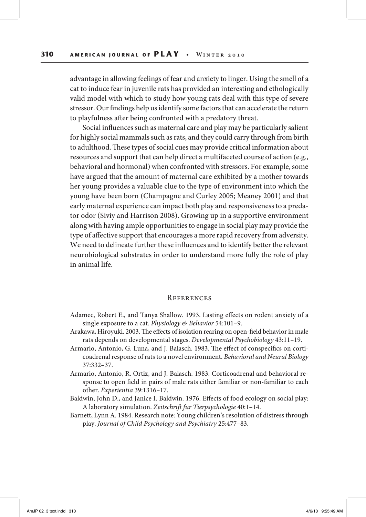advantage in allowing feelings of fear and anxiety to linger. Using the smell of a cat to induce fear in juvenile rats has provided an interesting and ethologically valid model with which to study how young rats deal with this type of severe stressor. Our findings help us identify some factors that can accelerate the return to playfulness after being confronted with a predatory threat.

Social influences such as maternal care and play may be particularly salient for highly social mammals such as rats, and they could carry through from birth to adulthood. These types of social cues may provide critical information about resources and support that can help direct a multifaceted course of action (e.g., behavioral and hormonal) when confronted with stressors. For example, some have argued that the amount of maternal care exhibited by a mother towards her young provides a valuable clue to the type of environment into which the young have been born (Champagne and Curley 2005; Meaney 2001) and that early maternal experience can impact both play and responsiveness to a predator odor (Siviy and Harrison 2008). Growing up in a supportive environment along with having ample opportunities to engage in social play may provide the type of affective support that encourages a more rapid recovery from adversity. We need to delineate further these influences and to identify better the relevant neurobiological substrates in order to understand more fully the role of play in animal life.

#### **REFERENCES**

- Adamec, Robert E., and Tanya Shallow. 1993. Lasting effects on rodent anxiety of a single exposure to a cat. *Physiology & Behavior* 54:101–9.
- Arakawa, Hiroyuki. 2003. The effects of isolation rearing on open-field behavior in male rats depends on developmental stages. *Developmental Psychobiology* 43:11–19.
- Armario, Antonio, G. Luna, and J. Balasch. 1983. The effect of conspecifics on corticoadrenal response of rats to a novel environment. *Behavioral and Neural Biology*  37:332–37.
- Armario, Antonio, R. Ortiz, and J. Balasch. 1983. Corticoadrenal and behavioral response to open field in pairs of male rats either familiar or non-familiar to each other. *Experientia* 39:1316–17.
- Baldwin, John D., and Janice I. Baldwin. 1976. Effects of food ecology on social play: A laboratory simulation. *Zeitschrift fur Tierpsychologie* 40:1–14.
- Barnett, Lynn A. 1984. Research note: Young children's resolution of distress through play. *Journal of Child Psychology and Psychiatry* 25:477–83.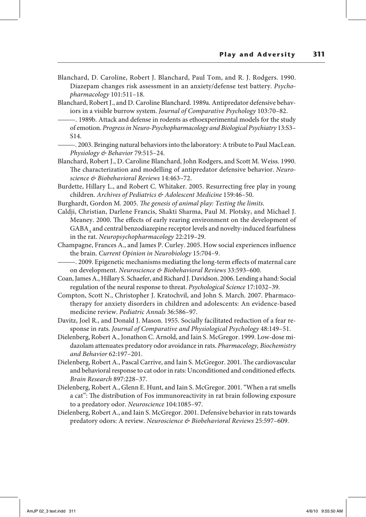- Blanchard, D. Caroline, Robert J. Blanchard, Paul Tom, and R. J. Rodgers. 1990. Diazepam changes risk assessment in an anxiety/defense test battery. *Psychopharmacology* 101:511–18.
- Blanchard, Robert J., and D. Caroline Blanchard. 1989a. Antipredator defensive behaviors in a visible burrow system. *Journal of Comparative Psychology* 103:70–82.
- ———. 1989b. Attack and defense in rodents as ethoexperimental models for the study of emotion. *Progress in Neuro-Psychopharmacology and Biological Psychiatry* 13:S3– S14.
	- ———. 2003. Bringing natural behaviors into the laboratory: A tribute to Paul MacLean. *Physiology & Behavior* 79:515–24.
- Blanchard, Robert J., D. Caroline Blanchard, John Rodgers, and Scott M. Weiss. 1990. The characterization and modelling of antipredator defensive behavior. *Neuroscience & Biobehavioral Reviews* 14:463–72.
- Burdette, Hillary L., and Robert C. Whitaker. 2005. Resurrecting free play in young children. *Archives of Pediatrics & Adolescent Medicine* 159:46–50.
- Burghardt, Gordon M. 2005. *The genesis of animal play: Testing the limits*.
- Caldji, Christian, Darlene Francis, Shakti Sharma, Paul M. Plotsky, and Michael J. Meaney. 2000. The effects of early rearing environment on the development of GABA, and central benzodiazepine receptor levels and novelty-induced fearfulness in the rat. *Neuropsychopharmacology* 22:219–29.
- Champagne, Frances A., and James P. Curley. 2005. How social experiences influence the brain. *Current Opinion in Neurobiology* 15:704–9.
- ———. 2009. Epigenetic mechanisms mediating the long-term effects of maternal care on development. *Neuroscience & Biobehavioral Reviews* 33:593–600.
- Coan, James A., Hillary S. Schaefer, and Richard J. Davidson. 2006. Lending a hand: Social regulation of the neural response to threat. *Psychological Science* 17:1032–39.
- Compton, Scott N., Christopher J. Kratochvil, and John S. March. 2007. Pharmacotherapy for anxiety disorders in children and adolescents: An evidence-based medicine review. *Pediatric Annals* 36:586–97.
- Davitz, Joel R., and Donald J. Mason. 1955. Socially facilitated reduction of a fear response in rats. *Journal of Comparative and Physiological Psychology* 48:149–51.
- Dielenberg, Robert A., Jonathon C. Arnold, and Iain S. McGregor. 1999. Low-dose midazolam attenuates predatory odor avoidance in rats. *Pharmacology, Biochemistry and Behavior* 62:197–201.
- Dielenberg, Robert A., Pascal Carrive, and Iain S. McGregor. 2001. The cardiovascular and behavioral response to cat odor in rats: Unconditioned and conditioned effects. *Brain Research* 897:228–37.
- Dielenberg, Robert A., Glenn E. Hunt, and Iain S. McGregor. 2001. "When a rat smells a cat": The distribution of Fos immunoreactivity in rat brain following exposure to a predatory odor. *Neuroscience* 104:1085–97.
- Dielenberg, Robert A., and Iain S. McGregor. 2001. Defensive behavior in rats towards predatory odors: A review. *Neuroscience & Biobehavioral Reviews* 25:597–609.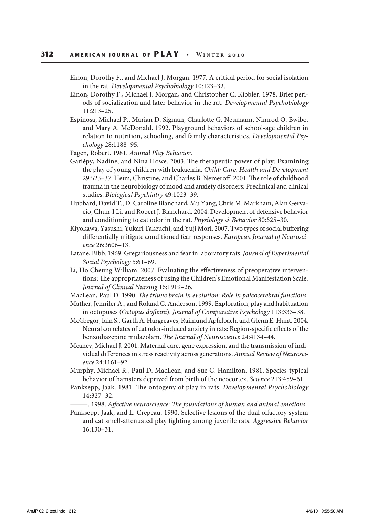- Einon, Dorothy F., and Michael J. Morgan. 1977. A critical period for social isolation in the rat. *Developmental Psychobiology* 10:123–32.
- Einon, Dorothy F., Michael J. Morgan, and Christopher C. Kibbler. 1978. Brief periods of socialization and later behavior in the rat. *Developmental Psychobiology* 11:213–25.
- Espinosa, Michael P., Marian D. Sigman, Charlotte G. Neumann, Nimrod O. Bwibo, and Mary A. McDonald. 1992. Playground behaviors of school-age children in relation to nutrition, schooling, and family characteristics. *Developmental Psychology* 28:1188–95.
- Fagen, Robert. 1981. *Animal Play Behavior*.
- Gariépy, Nadine, and Nina Howe. 2003. The therapeutic power of play: Examining the play of young children with leukaemia. *Child: Care, Health and Development* 29:523–37. Heim, Christine, and Charles B. Nemeroff. 2001. The role of childhood trauma in the neurobiology of mood and anxiety disorders: Preclinical and clinical studies. *Biological Psychiatry* 49:1023–39.
- Hubbard, David T., D. Caroline Blanchard, Mu Yang, Chris M. Markham, Alan Gervacio, Chun-I Li, and Robert J. Blanchard. 2004. Development of defensive behavior and conditioning to cat odor in the rat. *Physiology & Behavior* 80:525–30.
- Kiyokawa, Yasushi, Yukari Takeuchi, and Yuji Mori. 2007. Two types of social buffering differentially mitigate conditioned fear responses. *European Journal of Neuroscience* 26:3606–13.
- Latane, Bibb. 1969. Gregariousness and fear in laboratory rats. *Journal of Experimental Social Psychology* 5:61–69.
- Li, Ho Cheung William. 2007. Evaluating the effectiveness of preoperative interventions: The appropriateness of using the Children's Emotional Manifestation Scale. *Journal of Clinical Nursing* 16:1919–26.
- MacLean, Paul D. 1990. *The triune brain in evolution: Role in paleocerebral functions*.
- Mather, Jennifer A., and Roland C. Anderson. 1999. Exploration, play and habituation in octopuses (*Octopus dofleini*). *Journal of Comparative Psychology* 113:333–38.
- McGregor, Iain S., Garth A. Hargreaves, Raimund Apfelbach, and Glenn E. Hunt. 2004. Neural correlates of cat odor-induced anxiety in rats: Region-specific effects of the benzodiazepine midazolam. *The Journal of Neuroscience* 24:4134–44.
- Meaney, Michael J. 2001. Maternal care, gene expression, and the transmission of individual differences in stress reactivity across generations. *Annual Review of Neuroscience* 24:1161–92.
- Murphy, Michael R., Paul D. MacLean, and Sue C. Hamilton. 1981. Species-typical behavior of hamsters deprived from birth of the neocortex. *Science* 213:459–61.
- Panksepp, Jaak. 1981. The ontogeny of play in rats. *Developmental Psychobiology* 14:327–32.
	- ———. 1998. *Affective neuroscience: The foundations of human and animal emotions*.
- Panksepp, Jaak, and L. Crepeau. 1990. Selective lesions of the dual olfactory system and cat smell-attenuated play fighting among juvenile rats. *Aggressive Behavior* 16:130–31.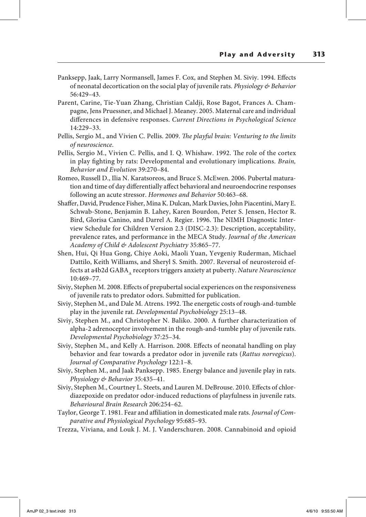- Panksepp, Jaak, Larry Normansell, James F. Cox, and Stephen M. Siviy. 1994. Effects of neonatal decortication on the social play of juvenile rats. *Physiology & Behavior*  56:429–43.
- Parent, Carine, Tie-Yuan Zhang, Christian Caldji, Rose Bagot, Frances A. Champagne, Jens Pruessner, and Michael J. Meaney. 2005. Maternal care and individual differences in defensive responses. *Current Directions in Psychological Science* 14:229–33.
- Pellis, Sergio M., and Vivien C. Pellis. 2009. *The playful brain: Venturing to the limits of neuroscience*.
- Pellis, Sergio M., Vivien C. Pellis, and I. Q. Whishaw. 1992. The role of the cortex in play fighting by rats: Developmental and evolutionary implications. *Brain, Behavior and Evolution* 39:270–84.
- Romeo, Russell D., Ilia N. Karatsoreos, and Bruce S. McEwen. 2006. Pubertal maturation and time of day differentially affect behavioral and neuroendocrine responses following an acute stressor. *Hormones and Behavior* 50:463–68.
- Shaffer, David, Prudence Fisher, Mina K. Dulcan, Mark Davies, John Piacentini, MaryE. Schwab-Stone, Benjamin B. Lahey, Karen Bourdon, Peter S. Jensen, Hector R. Bird, Glorisa Canino, and Darrel A. Regier. 1996. The NIMH Diagnostic Interview Schedule for Children Version 2.3 (DISC-2.3): Description, acceptability, prevalence rates, and performance in the MECA Study. *Journal of the American Academy of Child & Adolescent Psychiatry* 35:865–77.
- Shen, Hui, Qi Hua Gong, Chiye Aoki, Maoli Yuan, Yevgeniy Ruderman, Michael Dattilo, Keith Williams, and Sheryl S. Smith. 2007. Reversal of neurosteroid effects at a4b2d GABA<sub>A</sub> receptors triggers anxiety at puberty. *Nature Neuroscience* 10:469–77.
- Siviy, Stephen M. 2008. Effects of prepubertal social experiences on the responsiveness of juvenile rats to predator odors. Submitted for publication.
- Siviy, Stephen M., and Dale M. Atrens. 1992. The energetic costs of rough-and-tumble play in the juvenile rat. *Developmental Psychobiology* 25:13–48.
- Siviy, Stephen M., and Christopher N. Baliko. 2000. A further characterization of alpha-2 adrenoceptor involvement in the rough-and-tumble play of juvenile rats. *Developmental Psychobiology* 37:25–34.
- Siviy, Stephen M., and Kelly A. Harrison. 2008. Effects of neonatal handling on play behavior and fear towards a predator odor in juvenile rats (*Rattus norvegicus*). *Journal of Comparative Psychology* 122:1–8.
- Siviy, Stephen M., and Jaak Panksepp. 1985. Energy balance and juvenile play in rats. *Physiology & Behavior* 35:435–41.
- Siviy, Stephen M., Courtney L. Steets, and Lauren M. DeBrouse. 2010. Effects of chlordiazepoxide on predator odor-induced reductions of playfulness in juvenile rats. *Behavioural Brain Research* 206:254–62.
- Taylor, George T. 1981. Fear and affiliation in domesticated male rats. *Journal of Comparative and Physiological Psychology* 95:685–93.
- Trezza, Viviana, and Louk J. M. J. Vanderschuren. 2008. Cannabinoid and opioid